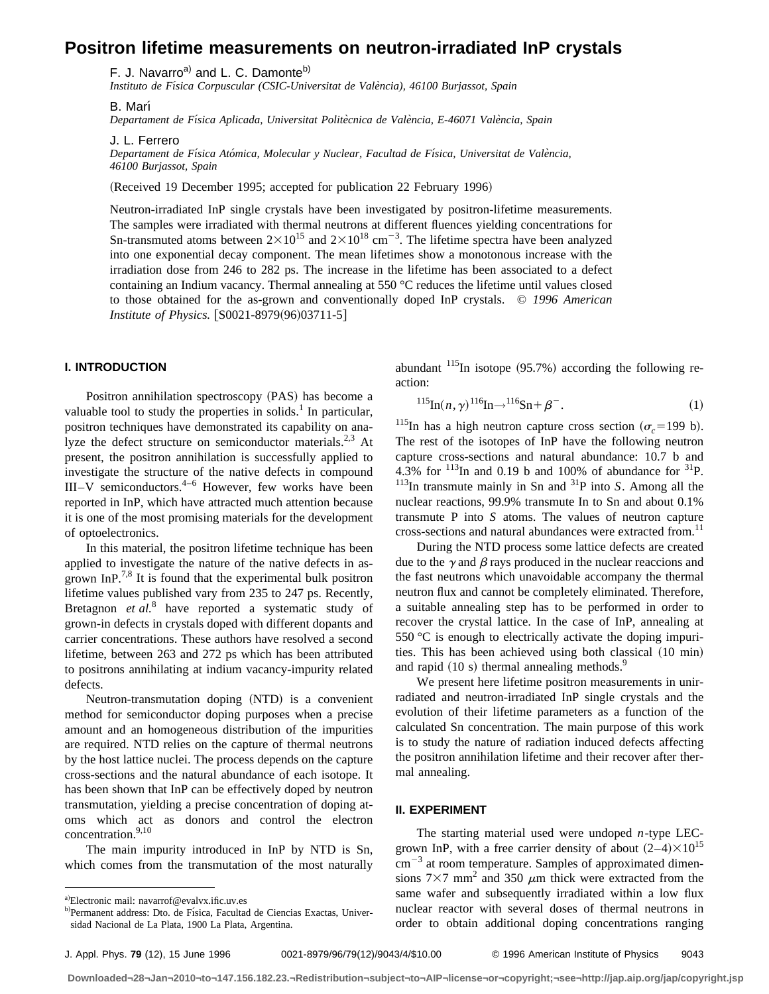# **Positron lifetime measurements on neutron-irradiated InP crystals**

F. J. Navarro<sup>a)</sup> and L. C. Damonte<sup>b)</sup>

*Instituto de Fı´sica Corpuscular (CSIC-Universitat de Vale`ncia), 46100 Burjassot, Spain*

B. Marı´

*Departament de Fı´sica Aplicada, Universitat Polite`cnica de Vale`ncia, E-46071 Vale`ncia, Spain*

J. L. Ferrero

*Departament de Fı´sica Ato´mica, Molecular y Nuclear, Facultad de Fı´sica, Universitat de Vale`ncia, 46100 Burjassot, Spain*

(Received 19 December 1995; accepted for publication 22 February 1996)

Neutron-irradiated InP single crystals have been investigated by positron-lifetime measurements. The samples were irradiated with thermal neutrons at different fluences yielding concentrations for Sn-transmuted atoms between  $2 \times 10^{15}$  and  $2 \times 10^{18}$  cm<sup>-3</sup>. The lifetime spectra have been analyzed into one exponential decay component. The mean lifetimes show a monotonous increase with the irradiation dose from 246 to 282 ps. The increase in the lifetime has been associated to a defect containing an Indium vacancy. Thermal annealing at 550 °C reduces the lifetime until values closed to those obtained for the as-grown and conventionally doped InP crystals. © *1996 American Institute of Physics.* [S0021-8979(96)03711-5]

### **I. INTRODUCTION**

Positron annihilation spectroscopy (PAS) has become a valuable tool to study the properties in solids.<sup>1</sup> In particular, positron techniques have demonstrated its capability on analyze the defect structure on semiconductor materials.<sup>2,3</sup> At present, the positron annihilation is successfully applied to investigate the structure of the native defects in compound III–V semiconductors. $4-6$  However, few works have been reported in InP, which have attracted much attention because it is one of the most promising materials for the development of optoelectronics.

In this material, the positron lifetime technique has been applied to investigate the nature of the native defects in asgrown InP.<sup>7,8</sup> It is found that the experimental bulk positron lifetime values published vary from 235 to 247 ps. Recently, Bretagnon *et al.*<sup>8</sup> have reported a systematic study of grown-in defects in crystals doped with different dopants and carrier concentrations. These authors have resolved a second lifetime, between 263 and 272 ps which has been attributed to positrons annihilating at indium vacancy-impurity related defects.

Neutron-transmutation doping (NTD) is a convenient method for semiconductor doping purposes when a precise amount and an homogeneous distribution of the impurities are required. NTD relies on the capture of thermal neutrons by the host lattice nuclei. The process depends on the capture cross-sections and the natural abundance of each isotope. It has been shown that InP can be effectively doped by neutron transmutation, yielding a precise concentration of doping atoms which act as donors and control the electron concentration.<sup>9,10</sup>

The main impurity introduced in InP by NTD is Sn, which comes from the transmutation of the most naturally abundant  $^{115}$ In isotope (95.7%) according the following reaction:

$$
^{115}\text{In}(n,\gamma)^{116}\text{In} \rightarrow ^{116}\text{Sn} + \beta^{-}.
$$
 (1)

<sup>115</sup>In has a high neutron capture cross section ( $\sigma_c$ =199 b). The rest of the isotopes of InP have the following neutron capture cross-sections and natural abundance: 10.7 b and 4.3% for  $^{113}$ In and 0.19 b and 100% of abundance for  $^{31}$ P.  $113$ In transmute mainly in Sn and  $31$ P into *S*. Among all the nuclear reactions, 99.9% transmute In to Sn and about 0.1% transmute P into *S* atoms. The values of neutron capture cross-sections and natural abundances were extracted from.<sup>11</sup>

During the NTD process some lattice defects are created due to the  $\gamma$  and  $\beta$  rays produced in the nuclear reaccions and the fast neutrons which unavoidable accompany the thermal neutron flux and cannot be completely eliminated. Therefore, a suitable annealing step has to be performed in order to recover the crystal lattice. In the case of InP, annealing at 550 °C is enough to electrically activate the doping impurities. This has been achieved using both classical  $(10 \text{ min})$ and rapid  $(10 \text{ s})$  thermal annealing methods.<sup>9</sup>

We present here lifetime positron measurements in unirradiated and neutron-irradiated InP single crystals and the evolution of their lifetime parameters as a function of the calculated Sn concentration. The main purpose of this work is to study the nature of radiation induced defects affecting the positron annihilation lifetime and their recover after thermal annealing.

#### **II. EXPERIMENT**

The starting material used were undoped *n*-type LECgrown InP, with a free carrier density of about  $(2-4)\times10^{15}$  $\text{cm}^{-3}$  at room temperature. Samples of approximated dimensions  $7\times7$  mm<sup>2</sup> and 350  $\mu$ m thick were extracted from the same wafer and subsequently irradiated within a low flux nuclear reactor with several doses of thermal neutrons in order to obtain additional doping concentrations ranging

**Downloaded¬28¬Jan¬2010¬to¬147.156.182.23.¬Redistribution¬subject¬to¬AIP¬license¬or¬copyright;¬see¬http://jap.aip.org/jap/copyright.jsp**

a)Electronic mail: navarrof@evalvx.ific.uv.es

b)Permanent address: Dto. de Física, Facultad de Ciencias Exactas, Universidad Nacional de La Plata, 1900 La Plata, Argentina.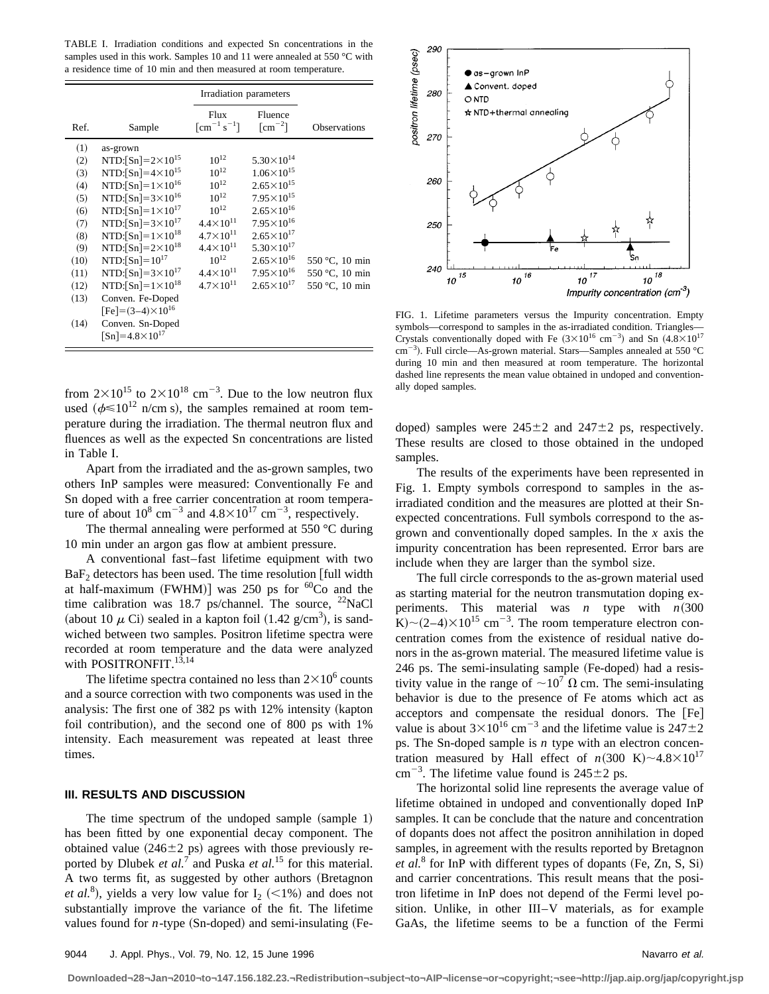TABLE I. Irradiation conditions and expected Sn concentrations in the samples used in this work. Samples 10 and 11 were annealed at 550 °C with a residence time of 10 min and then measured at room temperature.

|                                                                                                     |                                                                                                                                                                                                                                                                                                                                                                                                                                                                                        | Irradiation parameters                                                                                                                                                                             |                                                                                                                                                                                                                                                                           |                                                    |
|-----------------------------------------------------------------------------------------------------|----------------------------------------------------------------------------------------------------------------------------------------------------------------------------------------------------------------------------------------------------------------------------------------------------------------------------------------------------------------------------------------------------------------------------------------------------------------------------------------|----------------------------------------------------------------------------------------------------------------------------------------------------------------------------------------------------|---------------------------------------------------------------------------------------------------------------------------------------------------------------------------------------------------------------------------------------------------------------------------|----------------------------------------------------|
| Ref.                                                                                                | Sample                                                                                                                                                                                                                                                                                                                                                                                                                                                                                 | Flux<br>$\lceil$ cm <sup>-1</sup> s <sup>-1</sup> ]                                                                                                                                                | Fluence<br>$\lceil$ cm <sup>-2</sup> $\rceil$                                                                                                                                                                                                                             | <b>Observations</b>                                |
| (1)<br>(2)<br>(3)<br>(4)<br>(5)<br>(6)<br>(7)<br>(8)<br>(9)<br>(10)<br>(11)<br>(12)<br>(13)<br>(14) | as-grown<br>NTD:[Sn]= $2 \times 10^{15}$<br>NTD:[Sn]= $4\times10^{15}$<br>NTD:[Sn]= $1 \times 10^{16}$<br>NTD:[Sn]= $3 \times 10^{16}$<br>NTD:[Sn]= $1 \times 10^{17}$<br>NTD:[Sn]= $3 \times 10^{17}$<br>NTD:[Sn]= $1 \times 10^{18}$<br>NTD:[Sn]= $2 \times 10^{18}$<br>NTD:[Sn]= $10^{17}$<br>NTD:[Sn]= $3 \times 10^{17}$<br>NTD:[Sn]= $1\times10^{18}$<br>Conven. Fe-Doped<br>$[Fe] = (3-4) \times 10^{16}$<br>Conven. Sn-Doped<br>$\lceil \text{Sn} \rceil = 4.8 \times 10^{17}$ | $10^{12}$<br>$10^{12}$<br>$10^{12}$<br>$10^{12}$<br>$10^{12}$<br>$4.4 \times 10^{11}$<br>$4.7 \times 10^{11}$<br>$4.4 \times 10^{11}$<br>$10^{12}$<br>$4.4 \times 10^{11}$<br>$4.7 \times 10^{11}$ | $5.30\times10^{14}$<br>$1.06\times10^{15}$<br>$2.65 \times 10^{15}$<br>$7.95 \times 10^{15}$<br>$2.65 \times 10^{16}$<br>$7.95 \times 10^{16}$<br>$2.65 \times 10^{17}$<br>$5.30\times10^{17}$<br>$2.65 \times 10^{16}$<br>$7.95 \times 10^{16}$<br>$2.65 \times 10^{17}$ | 550 °C, 10 min<br>550 °C, 10 min<br>550 °C, 10 min |

from  $2\times10^{15}$  to  $2\times10^{18}$  cm<sup>-3</sup>. Due to the low neutron flux used ( $\phi \le 10^{12}$  n/cm s), the samples remained at room temperature during the irradiation. The thermal neutron flux and fluences as well as the expected Sn concentrations are listed in Table I.

Apart from the irradiated and the as-grown samples, two others InP samples were measured: Conventionally Fe and Sn doped with a free carrier concentration at room temperature of about  $10^8 \text{ cm}^{-3}$  and  $4.8 \times 10^{17} \text{ cm}^{-3}$ , respectively.

The thermal annealing were performed at 550 °C during 10 min under an argon gas flow at ambient pressure.

A conventional fast–fast lifetime equipment with two  $BaF<sub>2</sub>$  detectors has been used. The time resolution [full width at half-maximum (FWHM)] was 250 ps for  ${}^{60}Co$  and the time calibration was 18.7 ps/channel. The source,  $^{22}$ NaCl (about 10  $\mu$  Ci) sealed in a kapton foil (1.42 g/cm<sup>3</sup>), is sandwiched between two samples. Positron lifetime spectra were recorded at room temperature and the data were analyzed with POSITRONFIT.<sup>13,14</sup>

The lifetime spectra contained no less than  $2\times10^6$  counts and a source correction with two components was used in the analysis: The first one of  $382$  ps with  $12\%$  intensity (kapton foil contribution), and the second one of 800 ps with  $1\%$ intensity. Each measurement was repeated at least three times.

#### **III. RESULTS AND DISCUSSION**

The time spectrum of the undoped sample  $(sample 1)$ has been fitted by one exponential decay component. The obtained value  $(246\pm2 \text{ ps})$  agrees with those previously reported by Dlubek *et al.*<sup>7</sup> and Puska *et al.*<sup>15</sup> for this material. A two terms fit, as suggested by other authors (Bretagnon *et al.*<sup>8</sup>), yields a very low value for  $I_2$  (<1%) and does not substantially improve the variance of the fit. The lifetime values found for  $n$ -type  $(Sn$ -doped) and semi-insulating  $(Fe$ -



FIG. 1. Lifetime parameters versus the Impurity concentration. Empty symbols—correspond to samples in the as-irradiated condition. Triangles— Crystals conventionally doped with Fe  $(3\times10^{16} \text{ cm}^{-3})$  and Sn  $(4.8\times10^{17}$ cm<sup>-3</sup>). Full circle—As-grown material. Stars—Samples annealed at 550 °C during 10 min and then measured at room temperature. The horizontal dashed line represents the mean value obtained in undoped and conventionally doped samples.

doped) samples were  $245\pm2$  and  $247\pm2$  ps, respectively. These results are closed to those obtained in the undoped samples.

The results of the experiments have been represented in Fig. 1. Empty symbols correspond to samples in the asirradiated condition and the measures are plotted at their Snexpected concentrations. Full symbols correspond to the asgrown and conventionally doped samples. In the *x* axis the impurity concentration has been represented. Error bars are include when they are larger than the symbol size.

The full circle corresponds to the as-grown material used as starting material for the neutron transmutation doping experiments. This material was *n* type with  $n(300)$  $K$ ) ~ (2–4) $\times$ 10<sup>15</sup> cm<sup>-3</sup>. The room temperature electron concentration comes from the existence of residual native donors in the as-grown material. The measured lifetime value is  $246$  ps. The semi-insulating sample (Fe-doped) had a resistivity value in the range of  $\sim 10^7 \Omega$  cm. The semi-insulating behavior is due to the presence of Fe atoms which act as acceptors and compensate the residual donors. The  $[Fe]$ value is about  $3 \times 10^{16}$  cm<sup>-3</sup> and the lifetime value is  $247 \pm 2$ ps. The Sn-doped sample is *n* type with an electron concentration measured by Hall effect of  $n(300 \text{ K}) \sim 4.8 \times 10^{17}$  $\text{cm}^{-3}$ . The lifetime value found is 245 $\pm$ 2 ps.

The horizontal solid line represents the average value of lifetime obtained in undoped and conventionally doped InP samples. It can be conclude that the nature and concentration of dopants does not affect the positron annihilation in doped samples, in agreement with the results reported by Bretagnon *et al.*<sup>8</sup> for InP with different types of dopants (Fe, Zn, S, Si) and carrier concentrations. This result means that the positron lifetime in InP does not depend of the Fermi level position. Unlike, in other III–V materials, as for example GaAs, the lifetime seems to be a function of the Fermi

**Downloaded¬28¬Jan¬2010¬to¬147.156.182.23.¬Redistribution¬subject¬to¬AIP¬license¬or¬copyright;¬see¬http://jap.aip.org/jap/copyright.jsp**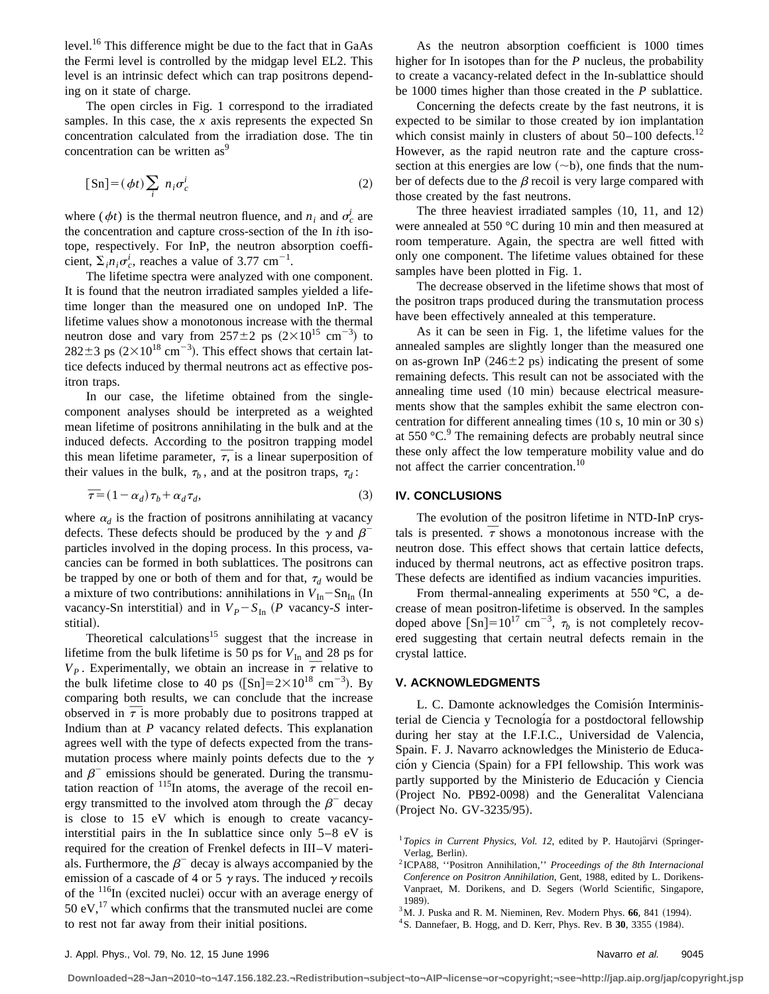level.<sup>16</sup> This difference might be due to the fact that in GaAs the Fermi level is controlled by the midgap level EL2. This level is an intrinsic defect which can trap positrons depending on it state of charge.

The open circles in Fig. 1 correspond to the irradiated samples. In this case, the *x* axis represents the expected Sn concentration calculated from the irradiation dose. The tin concentration can be written as<sup>9</sup>

$$
[Sn] = (\phi t) \sum_{i} n_i \sigma_c^i
$$
 (2)

where ( $\phi t$ ) is the thermal neutron fluence, and  $n_i$  and  $\sigma_c^i$  are the concentration and capture cross-section of the In *i*th isotope, respectively. For InP, the neutron absorption coefficient,  $\Sigma_i n_i \sigma_c^i$ , reaches a value of 3.77 cm<sup>-1</sup>.

The lifetime spectra were analyzed with one component. It is found that the neutron irradiated samples yielded a lifetime longer than the measured one on undoped InP. The lifetime values show a monotonous increase with the thermal neutron dose and vary from  $257 \pm 2$  ps  $(2 \times 10^{15} \text{ cm}^{-3})$  to  $282 \pm 3$  ps  $(2 \times 10^{18} \text{ cm}^{-3})$ . This effect shows that certain lattice defects induced by thermal neutrons act as effective positron traps.

In our case, the lifetime obtained from the singlecomponent analyses should be interpreted as a weighted mean lifetime of positrons annihilating in the bulk and at the induced defects. According to the positron trapping model induced defects. According to the positron trapping model<br>this mean lifetime parameter,  $\overline{\tau}$ , is a linear superposition of their values in the bulk,  $\tau_b$ , and at the positron traps,  $\tau_d$ :

$$
\overline{\tau} = (1 - \alpha_d)\tau_b + \alpha_d\tau_d, \tag{3}
$$

where  $\alpha_d$  is the fraction of positrons annihilating at vacancy defects. These defects should be produced by the  $\gamma$  and  $\beta$ <sup>-</sup> particles involved in the doping process. In this process, vacancies can be formed in both sublattices. The positrons can be trapped by one or both of them and for that,  $\tau_d$  would be a mixture of two contributions: annihilations in  $V_{In}$ -Sn<sub>In</sub> (In vacancy-Sn interstitial) and in  $V_P - S_{In}$  (P vacancy-*S* interstitial).

Theoretical calculations<sup>15</sup> suggest that the increase in lifetime from the bulk lifetime is 50 ps for  $V_{\text{In}}$  and 28 ps for iffer the rom the bulk lifetime is 50 ps for  $v_{\text{In}}$  and 28 ps for  $V_p$ . Experimentally, we obtain an increase in  $\overline{\tau}$  relative to the bulk lifetime close to 40 ps ( $\text{[Sn]}=2\times10^{18} \text{ cm}^{-3}$ ). By comparing both results, we can conclude that the increase comparing both results, we can conclude that the increase<br>observed in  $\bar{\tau}$  is more probably due to positrons trapped at Indium than at *P* vacancy related defects. This explanation agrees well with the type of defects expected from the transmutation process where mainly points defects due to the  $\gamma$ and  $\beta^-$  emissions should be generated. During the transmutation reaction of  $^{115}$ In atoms, the average of the recoil energy transmitted to the involved atom through the  $\beta^-$  decay is close to 15 eV which is enough to create vacancyinterstitial pairs in the In sublattice since only 5–8 eV is required for the creation of Frenkel defects in III–V materials. Furthermore, the  $\beta^-$  decay is always accompanied by the emission of a cascade of 4 or 5  $\gamma$  rays. The induced  $\gamma$  recoils of the  $116$ In (excited nuclei) occur with an average energy of 50  $eV$ ,<sup>17</sup> which confirms that the transmuted nuclei are come to rest not far away from their initial positions.

As the neutron absorption coefficient is 1000 times higher for In isotopes than for the *P* nucleus, the probability to create a vacancy-related defect in the In-sublattice should be 1000 times higher than those created in the *P* sublattice.

Concerning the defects create by the fast neutrons, it is expected to be similar to those created by ion implantation which consist mainly in clusters of about  $50-100$  defects.<sup>12</sup> However, as the rapid neutron rate and the capture crosssection at this energies are low  $(\sim b)$ , one finds that the number of defects due to the  $\beta$  recoil is very large compared with those created by the fast neutrons.

The three heaviest irradiated samples  $(10, 11,$  and  $12)$ were annealed at 550 °C during 10 min and then measured at room temperature. Again, the spectra are well fitted with only one component. The lifetime values obtained for these samples have been plotted in Fig. 1.

The decrease observed in the lifetime shows that most of the positron traps produced during the transmutation process have been effectively annealed at this temperature.

As it can be seen in Fig. 1, the lifetime values for the annealed samples are slightly longer than the measured one on as-grown InP  $(246\pm2 \text{ ps})$  indicating the present of some remaining defects. This result can not be associated with the annealing time used  $(10 \text{ min})$  because electrical measurements show that the samples exhibit the same electron concentration for different annealing times  $(10 s, 10 min or 30 s)$ at  $550 \, \degree$ C.<sup>9</sup> The remaining defects are probably neutral since these only affect the low temperature mobility value and do not affect the carrier concentration.<sup>10</sup>

# **IV. CONCLUSIONS**

The evolution of the positron lifetime in NTD-InP crystals is presented.  $\bar{\tau}$  shows a monotonous increase with the neutron dose. This effect shows that certain lattice defects, induced by thermal neutrons, act as effective positron traps. These defects are identified as indium vacancies impurities.

From thermal-annealing experiments at 550 °C, a decrease of mean positron-lifetime is observed. In the samples doped above  $\text{[Sn]} = 10^{17} \text{ cm}^{-3}$ ,  $\tau_b$  is not completely recovered suggesting that certain neutral defects remain in the crystal lattice.

## **V. ACKNOWLEDGMENTS**

L. C. Damonte acknowledges the Comisión Interministerial de Ciencia y Tecnología for a postdoctoral fellowship during her stay at the I.F.I.C., Universidad de Valencia, Spain. F. J. Navarro acknowledges the Ministerio de Educación y Ciencia (Spain) for a FPI fellowship. This work was partly supported by the Ministerio de Educación y Ciencia (Project No. PB92-0098) and the Generalitat Valenciana (Project No. GV-3235/95).

**Downloaded¬28¬Jan¬2010¬to¬147.156.182.23.¬Redistribution¬subject¬to¬AIP¬license¬or¬copyright;¬see¬http://jap.aip.org/jap/copyright.jsp**

<sup>&</sup>lt;sup>1</sup> Topics in Current Physics, Vol. 12, edited by P. Hautojärvi (Springer-Verlag, Berlin).

<sup>2</sup> ICPA88, ''Positron Annihilation,'' *Proceedings of the 8th Internacional Conference on Positron Annihilation*, Gent, 1988, edited by L. Dorikens-Vanpraet, M. Dorikens, and D. Segers (World Scientific, Singapore, 1989).

 $3$ M. J. Puska and R. M. Nieminen, Rev. Modern Phys. 66, 841 (1994).

<sup>&</sup>lt;sup>4</sup> S. Dannefaer, B. Hogg, and D. Kerr, Phys. Rev. B **30**, 3355 (1984).